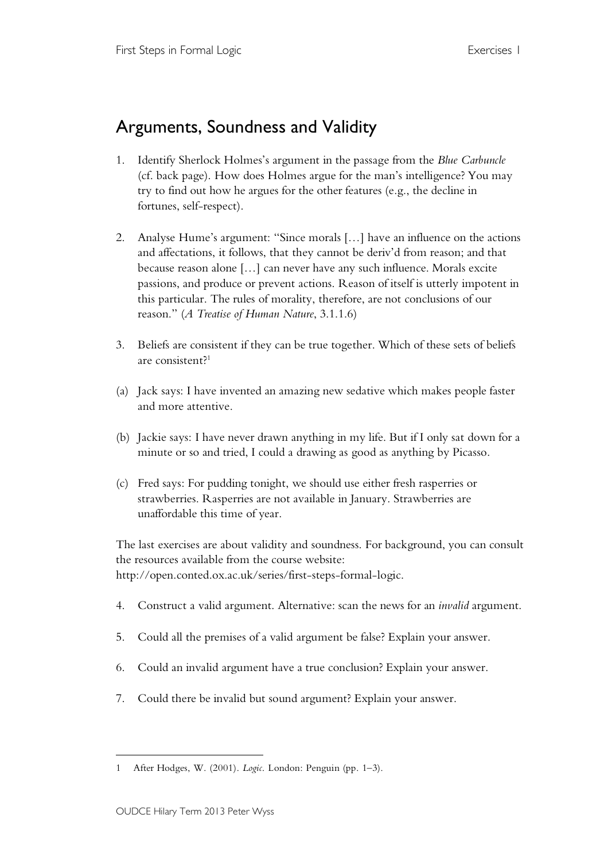## Arguments, Soundness and Validity

- 1. Identify Sherlock Holmes's argument in the passage from the *Blue Carbuncle* (cf. back page). How does Holmes argue for the man's intelligence? You may try to find out how he argues for the other features (e.g., the decline in fortunes, self-respect).
- 2. Analyse Hume's argument: "Since morals […] have an influence on the actions and affectations, it follows, that they cannot be deriv'd from reason; and that because reason alone […] can never have any such influence. Morals excite passions, and produce or prevent actions. Reason of itself is utterly impotent in this particular. The rules of morality, therefore, are not conclusions of our reason." (*A Treatise of Human Nature*, 3.1.1.6)
- 3. Beliefs are consistent if they can be true together. Which of these sets of beliefs are consistent? 1
- (a) Jack says: I have invented an amazing new sedative which makes people faster and more attentive.
- (b) Jackie says: I have never drawn anything in my life. But if I only sat down for a minute or so and tried, I could a drawing as good as anything by Picasso.
- (c) Fred says: For pudding tonight, we should use either fresh rasperries or strawberries. Rasperries are not available in January. Strawberries are unaffordable this time of year.

The last exercises are about validity and soundness. For background, you can consult the resources available from the course website: http://open.conted.ox.ac.uk/series/first-steps-formal-logic.

- 4. Construct a valid argument. Alternative: scan the news for an *invalid* argument.
- 5. Could all the premises of a valid argument be false? Explain your answer.
- 6. Could an invalid argument have a true conclusion? Explain your answer.
- 7. Could there be invalid but sound argument? Explain your answer.

 $\overline{a}$ 

<sup>1</sup> After Hodges, W. (2001). *Logic*. London: Penguin (pp. 1–3).